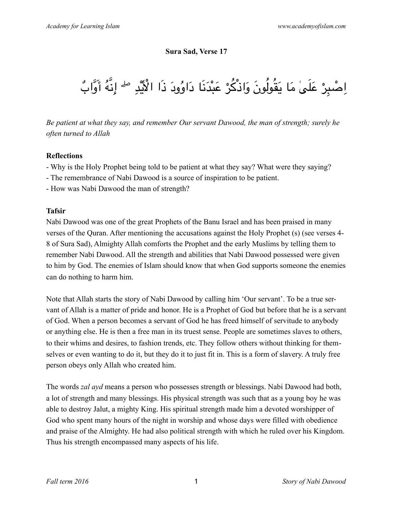#### **Sura Sad, Verse 17**

# اِصْبِرْ عَلَىٰ مَا يَقُولُونَ وَاذْكُرْ عَبْدَنَا دَاوُودَ ذَا الْأَيَّدِ <sup>صل</sup>َ إِنَّهُ أَوَّابٌ ٔ با ا

*Be patient at what they say, and remember Our servant Dawood, the man of strength; surely he often turned to Allah*

## **Reflections**

- Why is the Holy Prophet being told to be patient at what they say? What were they saying?
- The remembrance of Nabi Dawood is a source of inspiration to be patient.
- How was Nabi Dawood the man of strength?

## **Tafsir**

Nabi Dawood was one of the great Prophets of the Banu Israel and has been praised in many verses of the Quran. After mentioning the accusations against the Holy Prophet (s) (see verses 4- 8 of Sura Sad), Almighty Allah comforts the Prophet and the early Muslims by telling them to remember Nabi Dawood. All the strength and abilities that Nabi Dawood possessed were given to him by God. The enemies of Islam should know that when God supports someone the enemies can do nothing to harm him.

Note that Allah starts the story of Nabi Dawood by calling him 'Our servant'. To be a true servant of Allah is a matter of pride and honor. He is a Prophet of God but before that he is a servant of God. When a person becomes a servant of God he has freed himself of servitude to anybody or anything else. He is then a free man in its truest sense. People are sometimes slaves to others, to their whims and desires, to fashion trends, etc. They follow others without thinking for themselves or even wanting to do it, but they do it to just fit in. This is a form of slavery. A truly free person obeys only Allah who created him.

The words *zal ayd* means a person who possesses strength or blessings. Nabi Dawood had both, a lot of strength and many blessings. His physical strength was such that as a young boy he was able to destroy Jalut, a mighty King. His spiritual strength made him a devoted worshipper of God who spent many hours of the night in worship and whose days were filled with obedience and praise of the Almighty. He had also political strength with which he ruled over his Kingdom. Thus his strength encompassed many aspects of his life.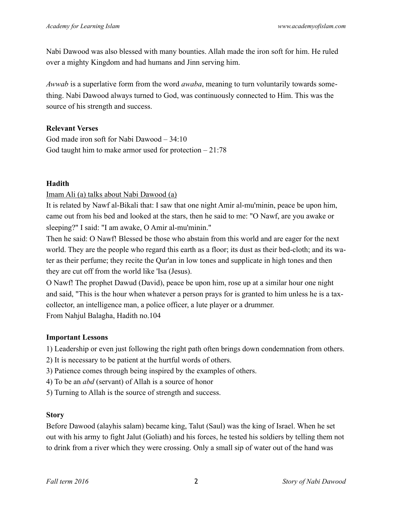Nabi Dawood was also blessed with many bounties. Allah made the iron soft for him. He ruled over a mighty Kingdom and had humans and Jinn serving him.

*Awwab* is a superlative form from the word *awaba*, meaning to turn voluntarily towards something. Nabi Dawood always turned to God, was continuously connected to Him. This was the source of his strength and success.

#### **Relevant Verses**

God made iron soft for Nabi Dawood – 34:10 God taught him to make armor used for protection  $-21:78$ 

## **Hadith**

## Imam Ali (a) talks about Nabi Dawood (a)

It is related by Nawf al-Bikali that: I saw that one night Amir al-mu'minin, peace be upon him, came out from his bed and looked at the stars, then he said to me: "O Nawf, are you awake or sleeping?" I said: "I am awake, O Amir al-mu'minin."

Then he said: O Nawf! Blessed be those who abstain from this world and are eager for the next world. They are the people who regard this earth as a floor; its dust as their bed-cloth; and its water as their perfume; they recite the Qur'an in low tones and supplicate in high tones and then they are cut off from the world like 'Isa (Jesus).

O Nawf! The prophet Dawud (David), peace be upon him, rose up at a similar hour one night and said, "This is the hour when whatever a person prays for is granted to him unless he is a taxcollector, an intelligence man, a police officer, a lute player or a drummer. From Nahjul Balagha, Hadith no.104

# **Important Lessons**

1) Leadership or even just following the right path often brings down condemnation from others.

- 2) It is necessary to be patient at the hurtful words of others.
- 3) Patience comes through being inspired by the examples of others.
- 4) To be an *abd* (servant) of Allah is a source of honor
- 5) Turning to Allah is the source of strength and success.

# **Story**

Before Dawood (alayhis salam) became king, Talut (Saul) was the king of Israel. When he set out with his army to fight Jalut (Goliath) and his forces, he tested his soldiers by telling them not to drink from a river which they were crossing. Only a small sip of water out of the hand was